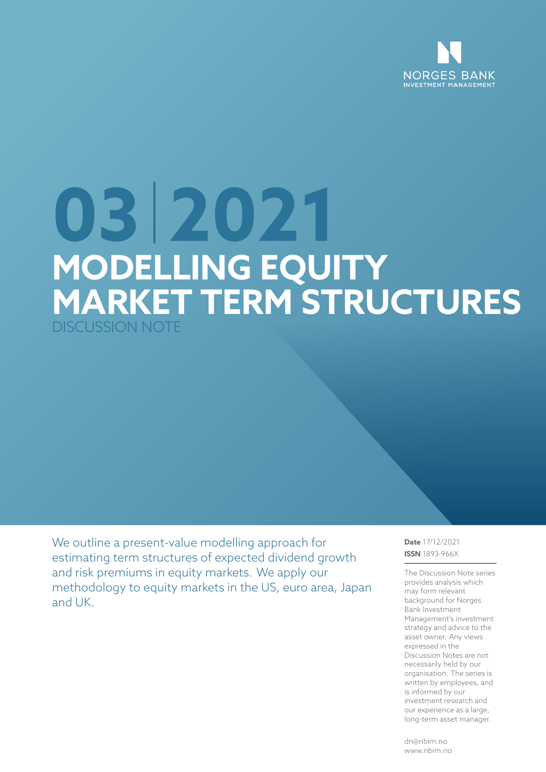

# **03 2021 MODELLING EQUITY MARKET TERM STRUCTURES** DISCUSSION NOTE

We outline a present-value modelling approach for estimating term structures of expected dividend growth and risk premiums in equity markets. We apply our methodology to equity markets in the US, euro area, Japan and UK.

**Date** 17/12/2021 **ISSN** 1893-966X

The Discussion Note series provides analysis which may form relevant background for Norges Bank Investment Management's investment strategy and advice to the asset owner. Any views expressed in the Discussion Notes are not necessarily held by our organisation. The series is written by employees, and is informed by our investment research and our experience as a large, long-term asset manager.

dn@nbim.no www.nbim.no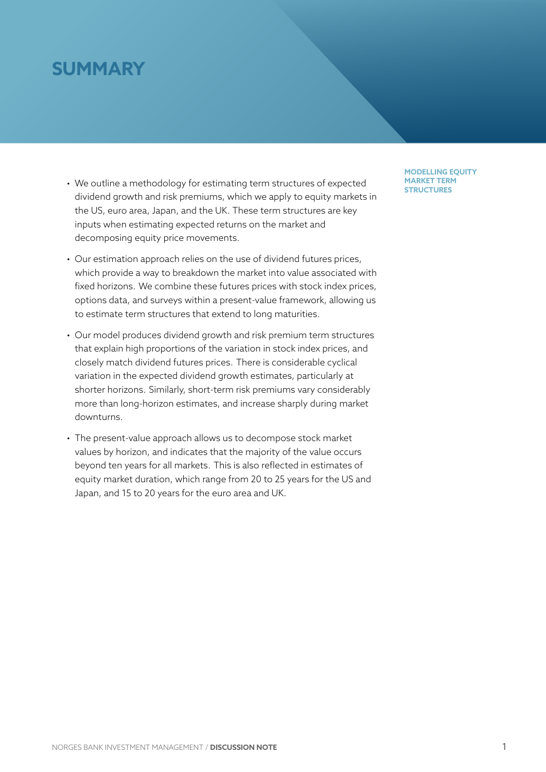# **SUMMARY**

- We outline a methodology for estimating term structures of expected dividend growth and risk premiums, which we apply to equity markets in the US, euro area, Japan, and the UK. These term structures are key inputs when estimating expected returns on the market and decomposing equity price movements.
- Our estimation approach relies on the use of dividend futures prices, which provide a way to breakdown the market into value associated with fixed horizons. We combine these futures prices with stock index prices, options data, and surveys within a present-value framework, allowing us to estimate term structures that extend to long maturities.
- Our model produces dividend growth and risk premium term structures that explain high proportions of the variation in stock index prices, and closely match dividend futures prices. There is considerable cyclical variation in the expected dividend growth estimates, particularly at shorter horizons. Similarly, short-term risk premiums vary considerably more than long-horizon estimates, and increase sharply during market downturns.
- The present-value approach allows us to decompose stock market values by horizon, and indicates that the majority of the value occurs beyond ten years for all markets. This is also reflected in estimates of equity market duration, which range from 20 to 25 years for the US and Japan, and 15 to 20 years for the euro area and UK.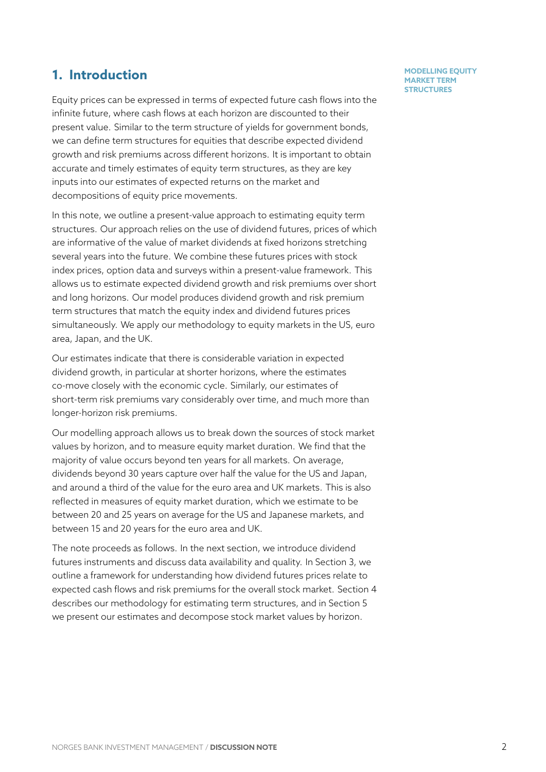## **1. Introduction**

Equity prices can be expressed in terms of expected future cash flows into the infinite future, where cash flows at each horizon are discounted to their present value. Similar to the term structure of yields for government bonds, we can define term structures for equities that describe expected dividend growth and risk premiums across different horizons. It is important to obtain accurate and timely estimates of equity term structures, as they are key inputs into our estimates of expected returns on the market and decompositions of equity price movements.

In this note, we outline a present-value approach to estimating equity term structures. Our approach relies on the use of dividend futures, prices of which are informative of the value of market dividends at fixed horizons stretching several years into the future. We combine these futures prices with stock index prices, option data and surveys within a present-value framework. This allows us to estimate expected dividend growth and risk premiums over short and long horizons. Our model produces dividend growth and risk premium term structures that match the equity index and dividend futures prices simultaneously. We apply our methodology to equity markets in the US, euro area, Japan, and the UK.

Our estimates indicate that there is considerable variation in expected dividend growth, in particular at shorter horizons, where the estimates co-move closely with the economic cycle. Similarly, our estimates of short-term risk premiums vary considerably over time, and much more than longer-horizon risk premiums.

Our modelling approach allows us to break down the sources of stock market values by horizon, and to measure equity market duration. We find that the majority of value occurs beyond ten years for all markets. On average, dividends beyond 30 years capture over half the value for the US and Japan, and around a third of the value for the euro area and UK markets. This is also reflected in measures of equity market duration, which we estimate to be between 20 and 25 years on average for the US and Japanese markets, and between 15 and 20 years for the euro area and UK.

The note proceeds as follows. In the next section, we introduce dividend futures instruments and discuss data availability and quality. In Section 3, we outline a framework for understanding how dividend futures prices relate to expected cash flows and risk premiums for the overall stock market. Section 4 describes our methodology for estimating term structures, and in Secti[o](#page-4-0)n 5 we present our estimates and decompose stock market values by horizon.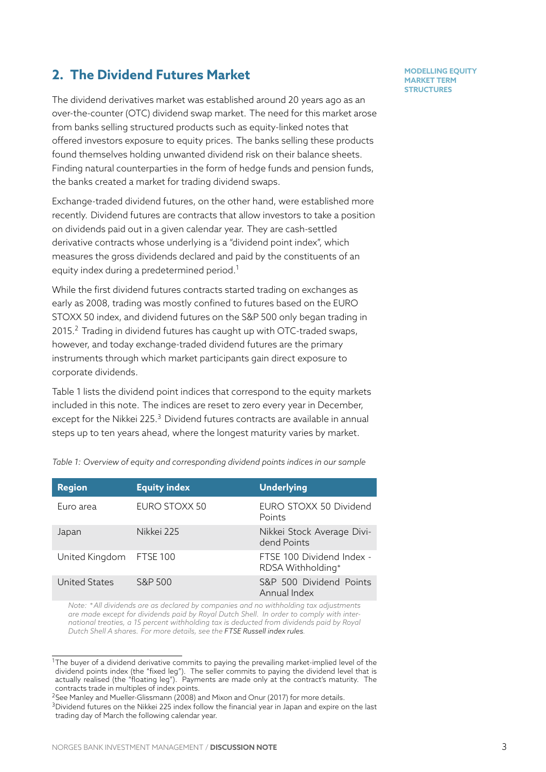# **2. The Dividend Futures Market**

The dividend derivatives market was established around 20 years ago as an over-the-counter (OTC) dividend swap market. The need for this market arose from banks selling structured products such as equity-linked notes that offered investors exposure to equity prices. The banks selling these products found themselves holding unwanted dividend risk on their balance sheets. Finding natural counterparties in the form of hedge funds and pension funds, the banks created a market for trading dividend swaps.

Exchange-traded dividend futures, on the other hand, were established more recently. Dividend futures are contracts that allow investors to take a position on dividends paid out in a given calendar year. They are cash-settled derivative contracts whose underlying is a "dividend point index", which measures the gross dividends declared and paid by the constituents of an equity index during a predetermined period.<sup>1</sup>

While the first dividend futures contracts started trading on exchanges as early as 2008, trading was mostly confined to futures based on the EURO STOXX 50 index, and dividend futures on th[e](#page-3-0) S&P 500 only began trading in 2015.<sup>2</sup> Trading in dividend futures has caught up with OTC-traded swaps, however, and today exchange-traded dividend futures are the primary instruments through which market participants gain direct exposure to corp[or](#page-3-1)ate dividends.

Table 1 lists the dividend point indices that correspond to the equity markets included in this note. The indices are reset to zero every year in December, except for the Nikkei 225.<sup>3</sup> Dividend futures contracts are available in annual steps [u](#page-3-2)p to ten years ahead, where the longest maturity varies by market.

<span id="page-3-2"></span>

| <b>Region</b>           | <b>Equity index</b> | <b>Underlying</b>                              |
|-------------------------|---------------------|------------------------------------------------|
| Euro area               | EURO STOXX 50       | EURO STOXX 50 Dividend<br>Points               |
| Japan                   | Nikkej 225          | Nikkei Stock Average Divi-<br>dend Points      |
| United Kingdom FTSE 100 |                     | FTSF 100 Dividend Index -<br>RDSA Withholding* |
| <b>United States</b>    | S&P 500             | S&P 500 Dividend Points<br>Annual Index        |

*Table 1: Overview of equity [an](#page-3-3)d corresponding dividend points indices in our sample*

*Note: ∗All dividends are as declared by companies and no withholding tax adjustments are made except for dividends paid by Royal Dutch Shell. In order to comply with international treaties, a 15 percent withholding tax is deducted from dividends paid by Royal Dutch Shell A shares. For more details, see the FTSE Russell index rules.*

 $1$ The buyer of a dividend derivative commits to paying the prevailing market-implied level of the dividend points index (the "fixed leg"). The seller commits to paying the dividend level that is actually realised (the "floating leg"). Payments a[re made only at the con](https://research.ftserussell.com/products/downloads/FTSE_100_Dividend_Index_RDSA_Withholding.pdf)tract's maturity. The contracts trade in multiples of index points.

<sup>2</sup>See Manley and Mueller-Glissmann (2008) and Mixon and Onur (2017) for more details.

<span id="page-3-3"></span><span id="page-3-1"></span><span id="page-3-0"></span><sup>&</sup>lt;sup>3</sup>Dividend futures on the Nikkei 225 index follow the financial year in Japan and expire on the last trading day of March the following calendar year.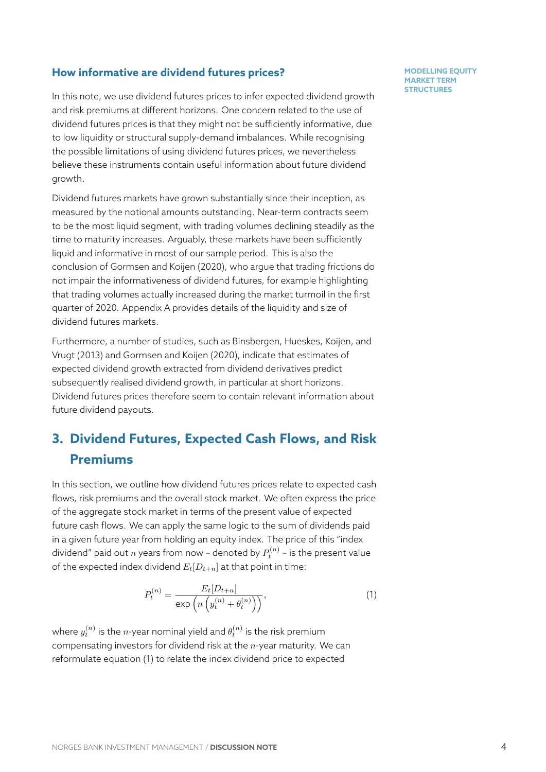### **How informative are dividend futures prices?**

In this note, we use dividend futures prices to infer expected dividend growth and risk premiums at different horizons. One concern related to the use of dividend futures prices is that they might not be sufficiently informative, due to low liquidity or structural supply-demand imbalances. While recognising the possible limitations of using dividend futures prices, we nevertheless believe these instruments contain useful information about future dividend growth.

Dividend futures markets have grown substantially since their inception, as measured by the notional amounts outstanding. Near-term contracts seem to be the most liquid segment, with trading volumes declining steadily as the time to maturity increases. Arguably, these markets have been sufficiently liquid and informative in most of our sample period. This is also the conclusion of Gormsen and Koijen (2020), who argue that trading frictions do not impair the informativeness of dividend futures, for example highlighting that trading volumes actually increased during the market turmoil in the first quarter of 20[20. Appendix](#page-16-2) A provid[es det](#page-16-2)ails of the liquidity and size of dividend futures markets.

Furthermore, a number of studies, such as Binsbergen, Hueskes, Koijen, and Vrugt (2013) and Gormsen [an](#page-17-0)d Koijen (2020), indicate that estimates of expected dividend growth extracted from dividend derivatives predict subsequently realised dividend growth, in [particular at short horizons.](#page-16-3) [Dividend fut](#page-16-3)ures [prices therefore seem to co](#page-16-2)ntain relevant information about future dividend payouts.

# **3. Dividend Futures, Expected Cash Flows, and Risk Premiums**

<span id="page-4-0"></span>In this section, we outline how dividend futures prices relate to expected cash flows, risk premiums and the overall stock market. We often express the price of the aggregate stock market in terms of the present value of expected future cash flows. We can apply the same logic to the sum of dividends paid in a given future year from holding an equity index. The price of this "index dividend" paid out  $n$  years from now - denoted by  $P_t^{(n)}$  - is the present value of the expected index dividend  $E_t[D_{t+n}]$  at that point in time:

$$
P_t^{(n)} = \frac{E_t[D_{t+n}]}{\exp\left(n\left(y_t^{(n)} + \theta_t^{(n)}\right)\right)},\tag{1}
$$

where  $y_t^{(n)}$  is the  $n$ -year nominal yield and  $\theta_t^{(n)}$  is the risk premium compensating investors for dividend risk at the *n*-year maturity. We can reformulate equation (1) to relate the index dividend price to expected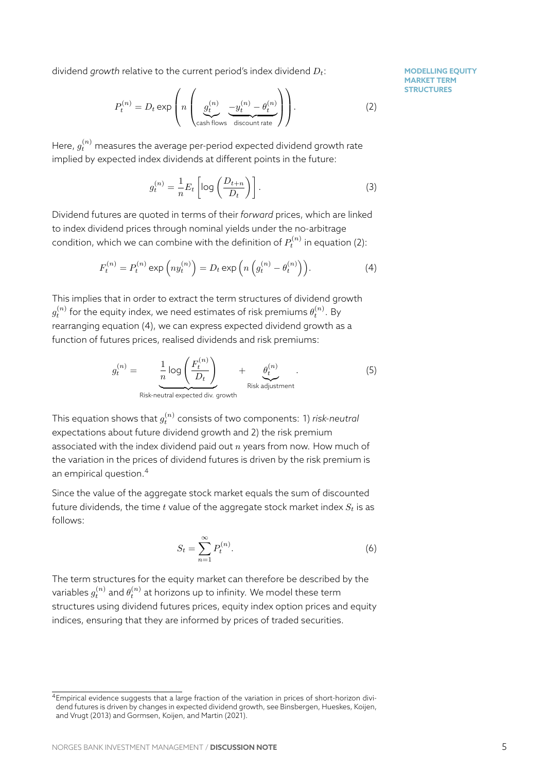dividend *growth* relative to the current period's index dividend *Dt*:

$$
P_t^{(n)} = D_t \exp\left(n \left(\underbrace{g_t^{(n)}}_{\text{cash flows}} \underbrace{-y_t^{(n)} - \theta_t^{(n)}}_{\text{discount rate}}\right)\right).
$$
 (2)

Here,  $g^{(n)}_t$  measures the average per-period expected dividend growth rate implied by expected index dividends at different points in the future:

$$
g_t^{(n)} = \frac{1}{n} E_t \left[ \log \left( \frac{D_{t+n}}{D_t} \right) \right]. \tag{3}
$$

Dividend futures are quoted in terms of their *forward* prices, which are linked to index dividend prices through nominal yields under the no-arbitrage condition, which we can combine with the definition of  $P_t^{(n)}$  in equation (2):

$$
F_t^{(n)} = P_t^{(n)} \exp\left(ny_t^{(n)}\right) = D_t \exp\left(n\left(g_t^{(n)} - \theta_t^{(n)}\right)\right). \tag{4}
$$

This implies that in order to extract the term structures of dividend growth  $g_t^{(n)}$  for the equity index, we need estimates of risk premiums  $\theta_t^{(n)}$ . By rearranging equation (4), we can express expected dividend growth as a function of futures prices, realised dividends and risk premiums:

<span id="page-5-1"></span>
$$
g_t^{(n)} = \underbrace{\frac{1}{n} \log \left( \frac{F_t^{(n)}}{D_t} \right)}_{\text{Risk-neutral expected div. growth}} + \underbrace{\theta_t^{(n)}}_{\text{Risk adjustment}}.
$$
 (5)

This equation shows that  $g_t^{(n)}$  consists of two components: 1) *risk-neutral* expectations about future dividend growth and 2) the risk premium associated with the index dividend paid out *n* years from now. How much of the variation in the prices of dividend futures is driven by the risk premium is an empirical question.<sup>4</sup>

Since the value of the aggregate stock market equals the sum of discounted future dividends, the time *t* value of the aggregate stock market index *S<sup>t</sup>* is as follows:

<span id="page-5-0"></span>
$$
S_t = \sum_{n=1}^{\infty} P_t^{(n)}.
$$
\n(6)

The term structures for the equity market can therefore be described by the variables  $g_t^{(n)}$  and  $\theta_t^{(n)}$  at horizons up to infinity. We model these term structures using dividend futures prices, equity index option prices and equity indices, ensuring that they are informed by prices of traded securities.

<sup>&</sup>lt;sup>4</sup>Empirical evidence suggests that a large fraction of the variation in prices of short-horizon dividend futures is driven by changes in expected dividend growth, see Binsbergen, Hueskes, Koijen, and Vrugt (2013) and Gormsen, Koijen, and Martin (2021).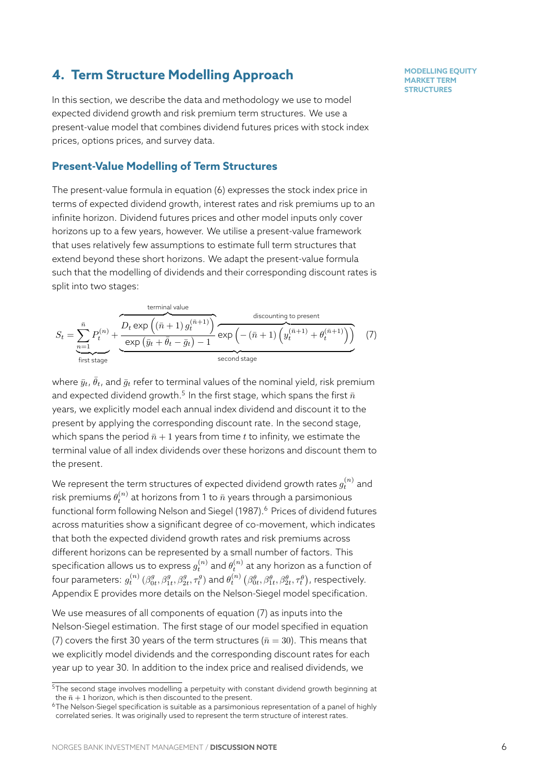# **4. Term Structure Modelling Approach**

In this section, we describe the data and methodology we use to model expected dividend growth and risk premium term structures. We use a present-value model that combines dividend futures prices with stock index prices, options prices, and survey data.

### **Present-Value Modelling of Term Structures**

The present-value formula in equation (6) expresses the stock index price in terms of expected dividend growth, interest rates and risk premiums up to an infinite horizon. Dividend futures prices and other model inputs only cover horizons up to a few years, however. W[e](#page-5-0) utilise a present-value framework that uses relatively few assumptions to estimate full term structures that extend beyond these short horizons. We adapt the present-value formula such that the modelling of dividends and their corresponding discount rates is split into two stages:

$$
S_{t} = \sum_{n=1}^{\bar{n}} P_{t}^{(n)} + \underbrace{\overbrace{\text{O}_{t} \exp\left((\bar{n}+1) g_{t}^{(\bar{n}+1)}\right)}^{\text{terminal value}}_{\text{exp}\left(\bar{y}_{t} + \bar{\theta}_{t} - \bar{g}_{t}\right) - 1}^{\text{discounting to present}}_{\text{second stage}} \exp\left(-(\bar{n}+1) \left(y_{t}^{(\bar{n}+1)} + \theta_{t}^{(\bar{n}+1)}\right)\right)} \tag{7}
$$

<span id="page-6-2"></span>where  $\bar{y}_t$ ,  $\bar{\theta}_t$ , and  $\bar{g}_t$  refer to terminal values of the nominal yield, risk premium and expected dividend growth.<sup>5</sup> In the first stage, which spans the first  $\bar{n}$ years, we explicitly model each annual index dividend and discount it to the present by applying the corresponding discount rate. In the second stage, which spans the period  $\bar{n}$  + 1 y[ea](#page-6-0)rs from time *t* to infinity, we estimate the terminal value of all index dividends over these horizons and discount them to the present.

We represent the term structures of expected dividend growth rates  $g^{(n)}_t$  and risk premiums  $\theta_t^{(n)}$  at horizons from 1 to  $\bar{n}$  years through a parsimonious functional form following Nelson and Siegel (1987).<sup>6</sup> Prices of dividend futures across maturities show a significant degree of co-movement, which indicates that both the expected dividend growth rates and risk premiums across different horizons can be [represented by a small n](#page-16-4)[um](#page-6-1)ber of factors. This specification allows us to express  $g_t^{(n)}$  and  $\theta_t^{(n)}$  at any horizon as a function of four parameters:  $g_t^{(n)}\,(\beta_{0t}^g,\beta_{1t}^g,\beta_{2t}^g,\tau_t^g)$  and  $\theta_t^{(n)}\,\big(\beta_{0t}^\theta,\beta_{1t}^\theta,\beta_{2t}^\theta,\tau_t^\theta\big)$ , respectively. Appendix E provides more details on the Nelson-Siegel model specification.

We use measures of all components of equation (7) as inputs into the Nelson-Siegel estimation. The first stage of our model specified in equation (7) covers [th](#page-20-0)e first 30 years of the term structures ( $\bar{n} = 30$ ). This means that we explicitly model dividends and the correspond[in](#page-6-2)g discount rates for each year up to year 30. In addition to the index price and realised dividends, we

 $5$ [T](#page-6-2)he second stage involves modelling a perpetuity with constant dividend growth beginning at the  $\bar{n}$  + 1 horizon, which is then discounted to the present.

<span id="page-6-1"></span><span id="page-6-0"></span><sup>6</sup>The Nelson-Siegel specification is suitable as a parsimonious representation of a panel of highly correlated series. It was originally used to represent the term structure of interest rates.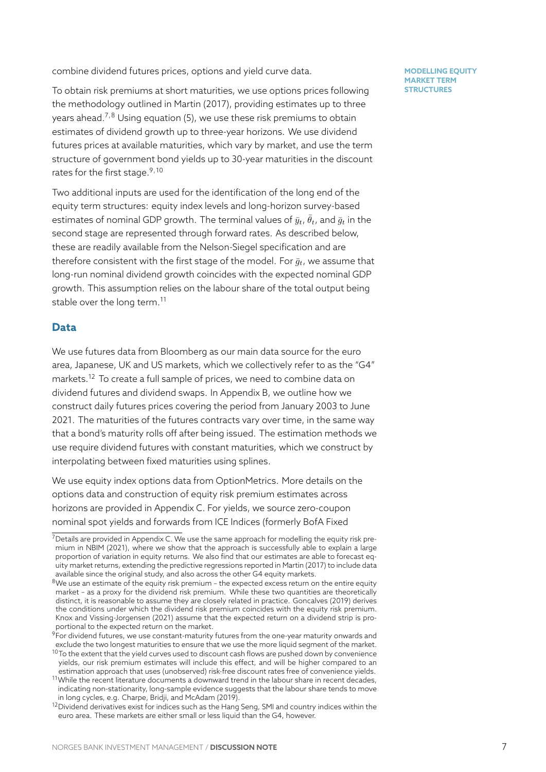combine dividend futures prices, options and yield curve data.

To obtain risk premiums at short maturities, we use options prices following the methodology outlined in Martin (2017), providing estimates up to three years ahead.<sup>7,8</sup> Using equation (5), we use these risk premiums to obtain estimates of dividend growth up to three-year horizons. We use dividend futures prices at available ma[turities](#page-16-5), [whic](#page-16-5)h vary by market, and use the term structure of [g](#page-7-0)[ov](#page-7-1)ernment bond [yie](#page-5-1)lds up to 30-year maturities in the discount rates for the first stage.  $9,10$ 

Two additional inputs are used for the identification of the long end of the equity term structures: equity index levels and long-horizon survey-based estimates of nominal G[D](#page-7-2)[P](#page-7-3) growth. The terminal values of  $\bar{y}_t$ ,  $\bar{\theta}_t$ , and  $\bar{g}_t$  in the second stage are represented through forward rates. As described below, these are readily available from the Nelson-Siegel specification and are therefore consistent with the first stage of the model. For  $\bar{g}_t$ , we assume that long-run nominal dividend growth coincides with the expected nominal GDP growth. This assumption relies on the labour share of the total output being stable over the long term.<sup>11</sup>

### **Data**

We use futures data from [Bl](#page-7-4)oomberg as our main data source for the euro area, Japanese, UK and US markets, which we collectively refer to as the "G4" markets.<sup>12</sup> To create a full sample of prices, we need to combine data on dividend futures and dividend swaps. In Appendix B, we outline how we construct daily futures prices covering the period from January 2003 to June 2021. T[he](#page-7-5) maturities of the futures contracts vary over time, in the same way that a bond's maturity rolls off after being issued. [Th](#page-17-1)e estimation methods we use require dividend futures with constant maturities, which we construct by interpolating between fixed maturities using splines.

We use equity index options data from OptionMetrics. More details on the options data and construction of equity risk premium estimates across horizons are provided in Appendix C. For yields, we source zero-coupon nominal spot yields and forwards from ICE Indices (formerly BofA Fixed

 $7$ Details are provided in Appendix C. We use the same approach for modelling the equity risk premium in NBIM (2021), where we show that the approach is successfully able to explain a large proportion of variation in equity returns. [We](#page-18-0) also find that our estimates are able to forecast equity market returns, extending the predictive regressions reported in Martin (2017) to include data available since the original study, and also across the other G4 equity markets.

<span id="page-7-0"></span> $8$ We use an estimate of the equit[y ri](#page-18-0)sk premium - the expected excess return on the entire equity market – [as a proxy f](#page-16-6)or the dividend risk premium. While these two quantities are theoretically distinct, it is reasonable to assume they are closely related in practice. Goncalves (2019) derives the conditions under which the dividend risk premium coincides w[ith the equit](#page-16-5)y risk premium. Knox and Vissing-Jorgensen (2021) assume that the expected return on a dividend strip is proportional to the expected return on the market.

<span id="page-7-1"></span> $^9$ For dividend futures, we use constant-maturity futures from the one-year maturity onwards and exclude the two longest maturities to ensure that we use the more liqui[d segment of the](#page-16-7) market.

 $10$ To the extent that the yield curves used to discount cash flows are pushed down by convenience [yields, our risk premium es](#page-16-8)t[imate](#page-16-8)s will include this effect, and will be higher compared to an estimation approach that uses (unobserved) risk-free discount rates free of convenience yields.

<span id="page-7-2"></span> $11$ While the recent literature documents a downward trend in the labour share in recent decades, indicating non-stationarity, long-sample evidence suggests that the labour share tends to move in long cycles, e.g. Charpe, Bridji, and McAdam (2019).

<span id="page-7-5"></span><span id="page-7-4"></span><span id="page-7-3"></span><sup>&</sup>lt;sup>12</sup>Dividend derivatives exist for indices such as the Hang Seng, SMI and country indices within the euro area. These markets are either small or less liquid than the G4, however.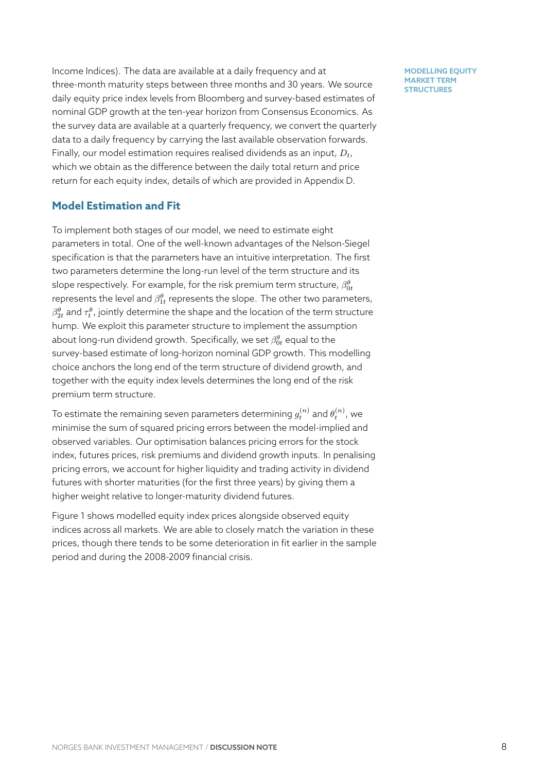Income Indices). The data are available at a daily frequency and at three-month maturity steps between three months and 30 years. We source daily equity price index levels from Bloomberg and survey-based estimates of nominal GDP growth at the ten-year horizon from Consensus Economics. As the survey data are available at a quarterly frequency, we convert the quarterly data to a daily frequency by carrying the last available observation forwards. Finally, our model estimation requires realised dividends as an input, *Dt*, which we obtain as the difference between the daily total return and price return for each equity index, details of which are provided in Appendix D.

### **Model Estimation and Fit**

To implement both stages of our model, we need to estimate eight parameters in total. One of the well-known advantages of the Nelson-Siegel specification is that the parameters have an intuitive interpretation. The first two parameters determine the long-run level of the term structure and its slope respectively. For example, for the risk premium term structure,  $\beta^{\theta}_{0t}$ represents the level and  $\beta^{\theta}_{1t}$  represents the slope. The other two parameters,  $\beta^{\theta}_{2t}$  and  $\tau^{\theta}_{t}$  , jointly determine the shape and the location of the term structure hump. We exploit this parameter structure to implement the assumption about long-run dividend growth. Specifically, we set  $\beta_{0t}^g$  equal to the survey-based estimate of long-horizon nominal GDP growth. This modelling choice anchors the long end of the term structure of dividend growth, and together with the equity index levels determines the long end of the risk premium term structure.

To estimate the remaining seven parameters determining  $g_t^{(n)}$  and  $\theta_t^{(n)}$ , we minimise the sum of squared pricing errors between the model-implied and observed variables. Our optimisation balances pricing errors for the stock index, futures prices, risk premiums and dividend growth inputs. In penalising pricing errors, we account for higher liquidity and trading activity in dividend futures with shorter maturities (for the first three years) by giving them a higher weight relative to longer-maturity dividend futures.

Figure 1 shows modelled equity index prices alongside observed equity indices across all markets. We are able to closely match the variation in these prices, though there tends to be some deterioration in fit earlier in the sample period [a](#page-9-0)nd during the 2008-2009 financial crisis.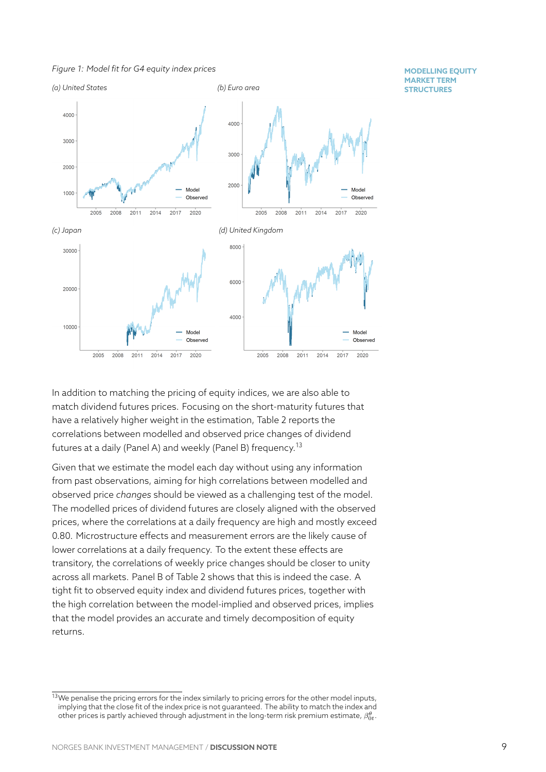*Figure 1: Model fit for G4 equity index prices*

<span id="page-9-0"></span>

In addition to matching the pricing of equity indices, we are also able to match dividend futures prices. Focusing on the short-maturity futures that have a relatively higher weight in the estimation, Table 2 reports the correlations between modelled and observed price changes of dividend futures at a daily (Panel A) and weekly (Panel B) frequency.<sup>13</sup>

Given that we estimate the model each day without us[in](#page-10-0)g any information from past observations, aiming for high correlations between modelled and observed price *changes* should be viewed as a challengin[g te](#page-9-1)st of the model. The modelled prices of dividend futures are closely aligned with the observed prices, where the correlations at a daily frequency are high and mostly exceed 0.80. Microstructure effects and measurement errors are the likely cause of lower correlations at a daily frequency. To the extent these effects are transitory, the correlations of weekly price changes should be closer to unity across all markets. Panel B of Table 2 shows that this is indeed the case. A tight fit to observed equity index and dividend futures prices, together with the high correlation between the model-implied and observed prices, implies that the model provides an accurat[e a](#page-10-0)nd timely decomposition of equity returns.

<span id="page-9-1"></span> $13$ We penalise the pricing errors for the index similarly to pricing errors for the other model inputs, implying that the close fit of the index price is not guaranteed. The ability to match the index and other prices is partly achieved through adjustment in the long-term risk premium estimate,  $\beta_{0t}^{\theta}.$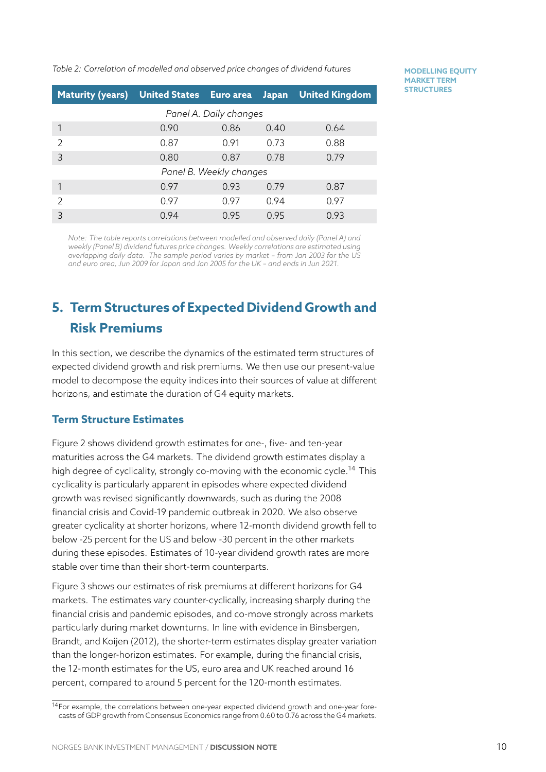*Table 2: Correlation of modelled and observed price changes of dividend futures*

| <b>MODELLING EQUITY</b> |  |
|-------------------------|--|
| <b>MARKET TERM</b>      |  |
| <b>STRUCTURES</b>       |  |

<span id="page-10-0"></span>

| Maturity (years) United States Euro area |                         |      | Japan | <b>United Kingdom</b> |  |  |  |
|------------------------------------------|-------------------------|------|-------|-----------------------|--|--|--|
| Panel A. Daily changes                   |                         |      |       |                       |  |  |  |
|                                          | 0.90                    | 0.86 | 0.40  | 0.64                  |  |  |  |
|                                          | 0.87                    | 0.91 | 0.73  | 0.88                  |  |  |  |
| 3                                        | 0.80                    | 0.87 | 0.78  | 0.79                  |  |  |  |
|                                          | Panel B. Weekly changes |      |       |                       |  |  |  |
|                                          | 0.97                    | 0.93 | 0.79  | 0.87                  |  |  |  |
|                                          | 0.97                    | 0.97 | 0.94  | 0.97                  |  |  |  |
| 3                                        | 0.94                    | 0.95 | 0.95  | 0.93                  |  |  |  |

*Note: The table reports correlations between modelled and observed daily (Panel A) and weekly (Panel B) dividend futures price changes. Weekly correlations are estimated using overlapping daily data. The sample period varies by market – from Jan 2003 for the US and euro area, Jun 2009 for Japan and Jan 2005 for the UK – and ends in Jun 2021.*

# **5. Term Structures of Expected Dividend Growth and Risk Premiums**

In this section, we describe the dynamics of the estimated term structures of expected dividend growth and risk premiums. We then use our present-value model to decompose the equity indices into their sources of value at different horizons, and estimate the duration of G4 equity markets.

### **Term Structure Estimates**

Figure 2 shows dividend growth estimates for one-, five- and ten-year maturities across the G4 markets. The dividend growth estimates display a high degree of cyclicality, strongly co-moving with the economic cycle.<sup>14</sup> This cyclica[lit](#page-11-0)y is particularly apparent in episodes where expected dividend growth was revised significantly downwards, such as during the 2008 financial crisis and Covid-19 pandemic outbreak in 2020. We also obser[ve](#page-10-1) greater cyclicality at shorter horizons, where 12-month dividend growth fell to below -25 percent for the US and below -30 percent in the other markets during these episodes. Estimates of 10-year dividend growth rates are more stable over time than their short-term counterparts.

Figure 3 shows our estimates of risk premiums at different horizons for G4 markets. The estimates vary counter-cyclically, increasing sharply during the financial crisis and pandemic episodes, and co-move strongly across markets partic[ula](#page-11-1)rly during market downturns. In line with evidence in Binsbergen, Brandt, and Koijen (2012), the shorter-term estimates display greater variation than the longer-horizon estimates. For example, during the financial crisis, the 12-month estimates for the US, euro area and UK reached [around 16](#page-16-10) [percent, compared to aro](#page-16-10)und 5 percent for the 120-month estimates.

<span id="page-10-1"></span><sup>&</sup>lt;sup>14</sup>For example, the correlations between one-year expected dividend growth and one-year forecasts of GDP growth from Consensus Economics range from 0.60 to 0.76 across the G4 markets.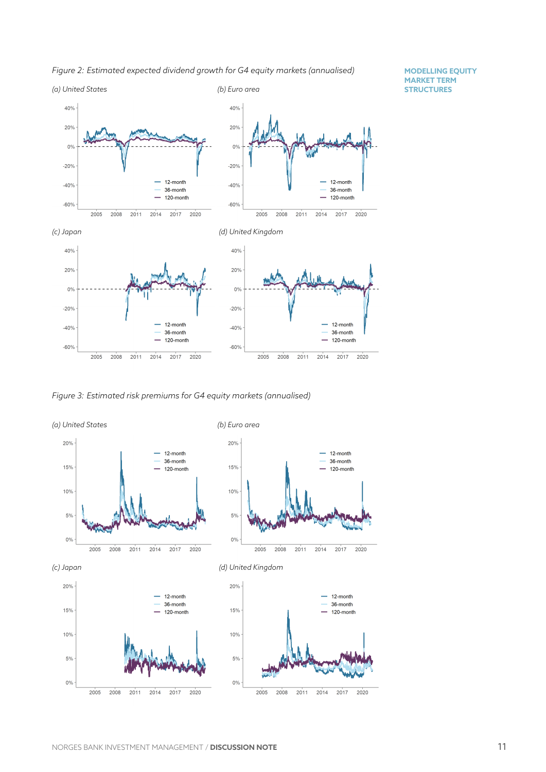<span id="page-11-0"></span>



<span id="page-11-1"></span>*Figure 3: Estimated risk premiums for G4 equity markets (annualised)*

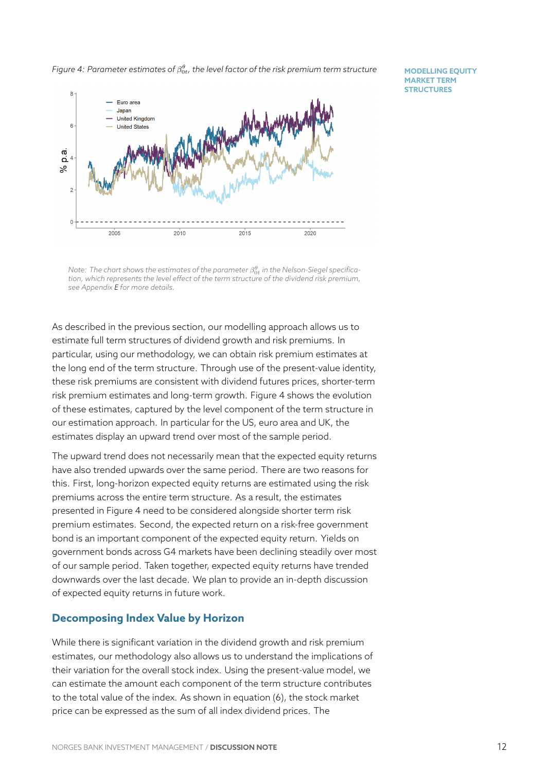*Figure 4: Parameter estimates of β θ* 0*t , the level factor of the risk premium term structure*

**MODELLING EQUITY MARKET TERM STRUCTURES**

<span id="page-12-0"></span>

 $\mathsf{Note:}$  The chart shows the estimates of the parameter  $\beta_{0t}^\theta$  in the Nelson-Siegel specifica*tion, which represents the level effect of the term structure of the dividend risk premium, see Appendix E for more details.*

As described i[n t](#page-20-0)he previous section, our modelling approach allows us to estimate full term structures of dividend growth and risk premiums. In particular, using our methodology, we can obtain risk premium estimates at the long end of the term structure. Through use of the present-value identity, these risk premiums are consistent with dividend futures prices, shorter-term risk premium estimates and long-term growth. Figure 4 shows the evolution of these estimates, captured by the level component of the term structure in our estimation approach. In particular for the US, euro area and UK, the estimates display an upward trend over most of the sa[m](#page-12-0)ple period.

The upward trend does not necessarily mean that the expected equity returns have also trended upwards over the same period. There are two reasons for this. First, long-horizon expected equity returns are estimated using the risk premiums across the entire term structure. As a result, the estimates presented in Figure 4 need to be considered alongside shorter term risk premium estimates. Second, the expected return on a risk-free government bond is an important component of the expected equity return. Yields on government bonds [ac](#page-12-0)ross G4 markets have been declining steadily over most of our sample period. Taken together, expected equity returns have trended downwards over the last decade. We plan to provide an in-depth discussion of expected equity returns in future work.

### **Decomposing Index Value by Horizon**

While there is significant variation in the dividend growth and risk premium estimates, our methodology also allows us to understand the implications of their variation for the overall stock index. Using the present-value model, we can estimate the amount each component of the term structure contributes to the total value of the index. As shown in equation (6), the stock market price can be expressed as the sum of all index dividend prices. The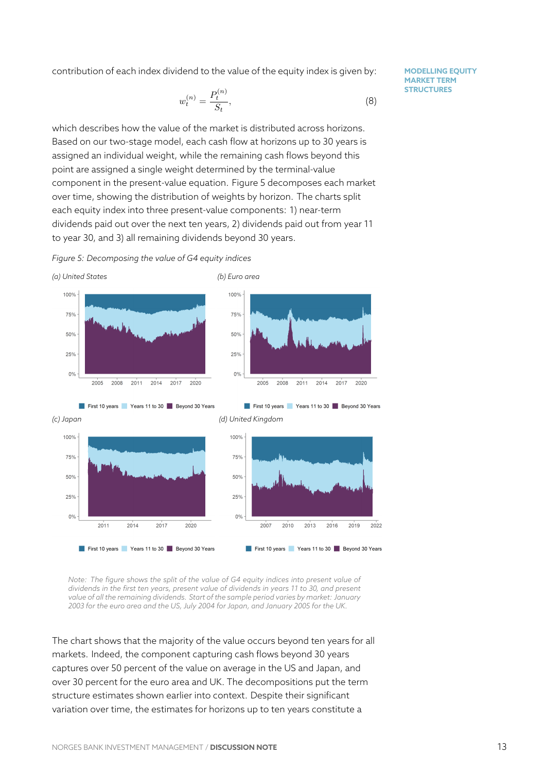contribution of each index dividend to the value of the equity index is given by:

$$
w_t^{(n)} = \frac{P_t^{(n)}}{S_t},\tag{8}
$$

**MODELLING EQUITY MARKET TERM STRUCTURES**

which describes how the value of the market is distributed across horizons. Based on our two-stage model, each cash flow at horizons up to 30 years is assigned an individual weight, while the remaining cash flows beyond this point are assigned a single weight determined by the terminal-value component in the present-value equation. Figure 5 decomposes each market over time, showing the distribution of weights by horizon. The charts split each equity index into three present-value components: 1) near-term dividends paid out over the next ten years, 2) divi[de](#page-13-0)nds paid out from year 11 to year 30, and 3) all remaining dividends beyond 30 years.

*Figure 5: Decomposing the value of G4 equity indices*

<span id="page-13-0"></span>



*Note: The figure shows the split of the value of G4 equity indices into present value of dividends in the first ten years, present value of dividends in years 11 to 30, and present value of all the remaining dividends. Start of the sample period varies by market: January 2003 for the euro area and the US, July 2004 for Japan, and January 2005 for the UK.*

The chart shows that the majority of the value occurs beyond ten years for all markets. Indeed, the component capturing cash flows beyond 30 years captures over 50 percent of the value on average in the US and Japan, and over 30 percent for the euro area and UK. The decompositions put the term structure estimates shown earlier into context. Despite their significant variation over time, the estimates for horizons up to ten years constitute a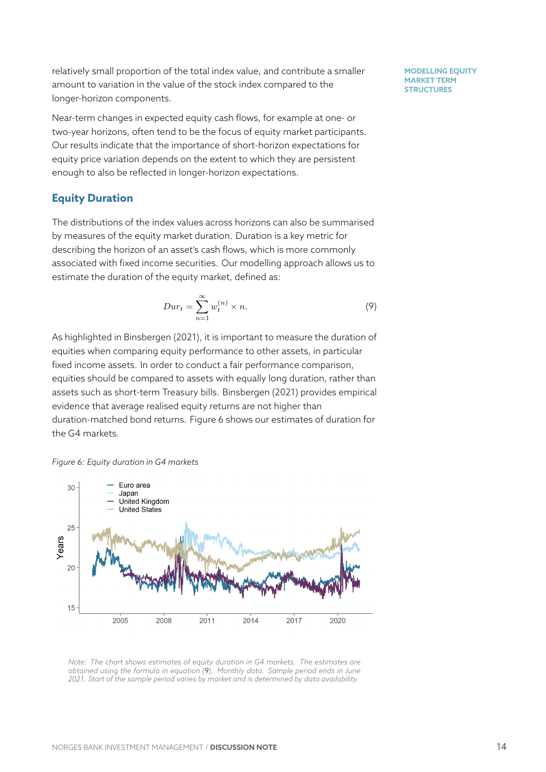relatively small proportion of the total index value, and contribute a smaller amount to variation in the value of the stock index compared to the longer-horizon components.

Near-term changes in expected equity cash flows, for example at one- or two-year horizons, often tend to be the focus of equity market participants. Our results indicate that the importance of short-horizon expectations for equity price variation depends on the extent to which they are persistent enough to also be reflected in longer-horizon expectations.

### **Equity Duration**

The distributions of the index values across horizons can also be summarised by measures of the equity market duration. Duration is a key metric for describing the horizon of an asset's cash flows, which is more commonly associated with fixed income securities. Our modelling approach allows us to estimate the duration of the equity market, defined as:

$$
Dur_t = \sum_{n=1}^{\infty} w_t^{(n)} \times n.
$$
 (9)

As highlighted in Binsbergen (2021), it is important to measure the duration of equities when comparing equity performance to other assets, in particular fixed income assets. In order to conduct a fair performance comparison, equities shouldb[e compared to ass](#page-16-11)ets with equally long duration, rather than assets such as short-term Treasury bills. Binsbergen (2021) provides empirical evidence that average realised equity returns are not higher than duration-matched bond returns. Figure 6 shows our estimates of duration for the G4 markets.

#### *Figure 6: Equity duration in G4 markets*



*Note: The chart shows estimates of equity duration in G4 markets. The estimates are obtained using the formula in equation* (9)*. Monthly data. Sample period ends in June 2021. Start of the sample period varies by market and is determined by data availability.*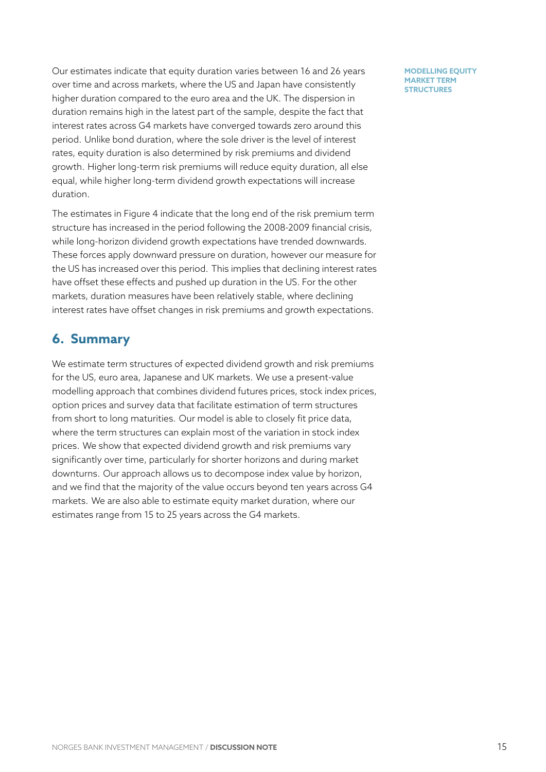Our estimates indicate that equity duration varies between 16 and 26 years over time and across markets, where the US and Japan have consistently higher duration compared to the euro area and the UK. The dispersion in duration remains high in the latest part of the sample, despite the fact that interest rates across G4 markets have converged towards zero around this period. Unlike bond duration, where the sole driver is the level of interest rates, equity duration is also determined by risk premiums and dividend growth. Higher long-term risk premiums will reduce equity duration, all else equal, while higher long-term dividend growth expectations will increase duration.

The estimates in Figure 4 indicate that the long end of the risk premium term structure has increased in the period following the 2008-2009 financial crisis, while long-horizon dividend growth expectations have trended downwards. These forces apply dow[nw](#page-12-0)ard pressure on duration, however our measure for the US has increased over this period. This implies that declining interest rates have offset these effects and pushed up duration in the US. For the other markets, duration measures have been relatively stable, where declining interest rates have offset changes in risk premiums and growth expectations.

### **6. Summary**

We estimate term structures of expected dividend growth and risk premiums for the US, euro area, Japanese and UK markets. We use a present-value modelling approach that combines dividend futures prices, stock index prices, option prices and survey data that facilitate estimation of term structures from short to long maturities. Our model is able to closely fit price data, where the term structures can explain most of the variation in stock index prices. We show that expected dividend growth and risk premiums vary significantly over time, particularly for shorter horizons and during market downturns. Our approach allows us to decompose index value by horizon, and we find that the majority of the value occurs beyond ten years across G4 markets. We are also able to estimate equity market duration, where our estimates range from 15 to 25 years across the G4 markets.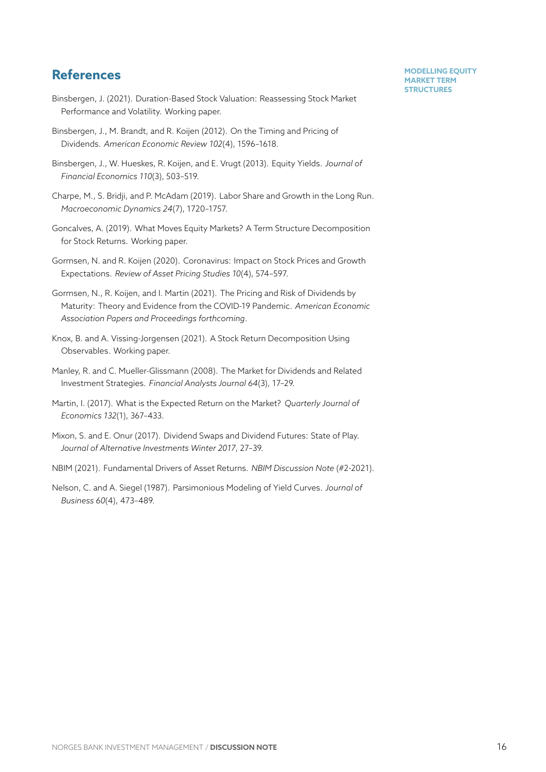### **References**

- <span id="page-16-11"></span>Binsbergen, J. (2021). Duration-Based Stock Valuation: Reassessing Stock Market Performance and Volatility. Working paper.
- <span id="page-16-10"></span>Binsbergen, J., M. Brandt, and R. Koijen (2012). On the Timing and Pricing of Dividends. *American Economic Review 102*(4), 1596–1618.
- <span id="page-16-3"></span>Binsbergen, J., W. Hueskes, R. Koijen, and E. Vrugt (2013). Equity Yields. *Journal of Financial Economics 110*(3), 503–519.
- <span id="page-16-9"></span>Charpe, M., S. Bridji, and P. McAdam (2019). Labor Share and Growth in the Long Run. *Macroeconomic Dynamics 24*(7), 1720–1757.
- <span id="page-16-7"></span>Goncalves, A. (2019). What Moves Equity Markets? A Term Structure Decomposition for Stock Returns. Working paper.
- <span id="page-16-2"></span>Gormsen, N. and R. Koijen (2020). Coronavirus: Impact on Stock Prices and Growth Expectations. *Review of Asset Pricing Studies 10*(4), 574–597.
- Gormsen, N., R. Koijen, and I. Martin (2021). The Pricing and Risk of Dividends by Maturity: Theory and Evidence from the COVID-19 Pandemic. *American Economic Association Papers and Proceedings forthcoming*.
- <span id="page-16-8"></span>Knox, B. and A. Vissing-Jorgensen (2021). A Stock Return Decomposition Using Observables. Working paper.
- <span id="page-16-0"></span>Manley, R. and C. Mueller-Glissmann (2008). The Market for Dividends and Related Investment Strategies. *Financial Analysts Journal 64*(3), 17–29.
- <span id="page-16-5"></span>Martin, I. (2017). What is the Expected Return on the Market? *Quarterly Journal of Economics 132*(1), 367–433.
- <span id="page-16-1"></span>Mixon, S. and E. Onur (2017). Dividend Swaps and Dividend Futures: State of Play. *Journal of Alternative Investments Winter 2017*, 27–39.
- <span id="page-16-6"></span>NBIM (2021). Fundamental Drivers of Asset Returns. *NBIM Discussion Note* (#2-2021).
- <span id="page-16-4"></span>Nelson, C. and A. Siegel (1987). Parsimonious Modeling of Yield Curves. *Journal of Business 60*(4), 473–489.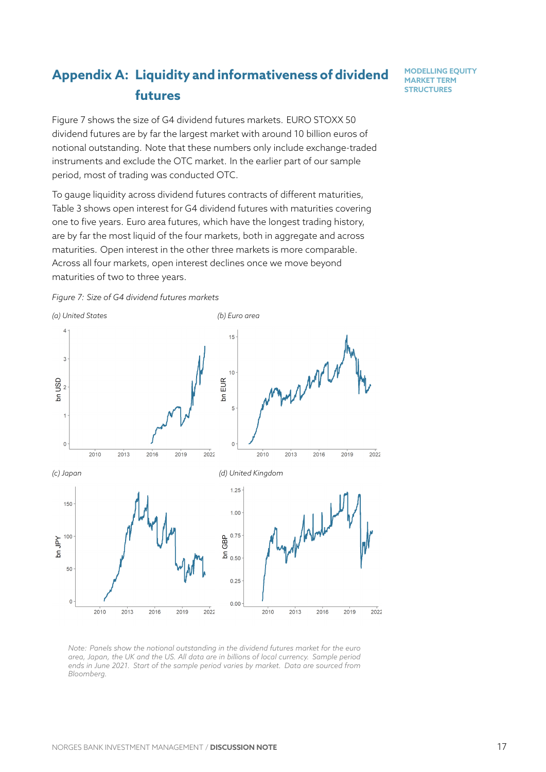# **Appendix A: Liquidity and informativeness of dividend futures**

**MODELLING EQUITY MARKET TERM STRUCTURES**

<span id="page-17-0"></span>Figure 7 shows the size of G4 dividend futures markets. EURO STOXX 50 dividend futures are by far the largest market with around 10 billion euros of notional outstanding. Note that these numbers only include exchange-traded instru[me](#page-17-2)nts and exclude the OTC market. In the earlier part of our sample period, most of trading was conducted OTC.

To gauge liquidity across dividend futures contracts of different maturities, Table 3 shows open interest for G4 dividend futures with maturities covering one to five years. Euro area futures, which have the longest trading history, are by far the most liquid of the four markets, both in aggregate and across matu[rit](#page-18-1)ies. Open interest in the other three markets is more comparable. Across all four markets, open interest declines once we move beyond maturities of two to three years.



<span id="page-17-2"></span>

<span id="page-17-1"></span>*Note: Panels show the notional outstanding in the dividend futures market for the euro area, Japan, the UK and the US. All data are in billions of local currency. Sample period ends in June 2021. Start of the sample period varies by market. Data are sourced from Bloomberg.*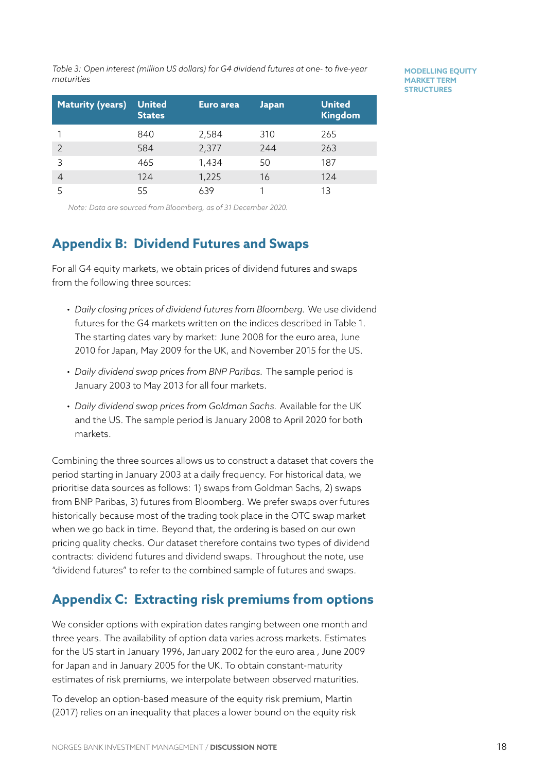*Table 3: Open interest (million US dollars) for G4 dividend futures at one- to five-year maturities*

<span id="page-18-1"></span>

| <b>Maturity (years)</b> | <b>United</b><br><b>States</b> | Euro area | <b>Japan</b> | <b>United</b><br><b>Kingdom</b> |
|-------------------------|--------------------------------|-----------|--------------|---------------------------------|
|                         | 840                            | 2,584     | 310          | 265                             |
|                         | 584                            | 2,377     | 244          | 263                             |
| 3                       | 465                            | 1,434     | 50           | 187                             |
| 4                       | 124                            | 1,225     | 16           | 124                             |
|                         | 55                             | 639       |              | 13                              |

**MODELLING EQUITY MARKET TERM STRUCTURES**

*Note: Data are sourced from Bloomberg, as of 31 December 2020.*

## **Appendix B: Dividend Futures and Swaps**

For all G4 equity markets, we obtain prices of dividend futures and swaps from the following three sources:

- *Daily closing prices of dividend futures from Bloomberg.* We use dividend futures for the G4 markets written on the indices described in Table 1. The starting dates vary by market: June 2008 for the euro area, June 2010 for Japan, May 2009 for the UK, and November 2015 for the US.
- *Daily dividend swap prices from BNP Paribas.* The sample period is January 2003 to May 2013 for all four markets.
- *Daily dividend swap prices from Goldman Sachs.* Available for the UK and the US. The sample period is January 2008 to April 2020 for both markets.

Combining the three sources allows us to construct a dataset that covers the period starting in January 2003 at a daily frequency. For historical data, we prioritise data sources as follows: 1) swaps from Goldman Sachs, 2) swaps from BNP Paribas, 3) futures from Bloomberg. We prefer swaps over futures historically because most of the trading took place in the OTC swap market when we go back in time. Beyond that, the ordering is based on our own pricing quality checks. Our dataset therefore contains two types of dividend contracts: dividend futures and dividend swaps. Throughout the note, use "dividend futures" to refer to the combined sample of futures and swaps.

## **Appendix C: Extracting risk premiums from options**

<span id="page-18-0"></span>We consider options with expiration dates ranging between one month and three years. The availability of option data varies across markets. Estimates for the US start in January 1996, January 2002 for the euro area , June 2009 for Japan and in January 2005 for the UK. To obtain constant-maturity estimates of risk premiums, we interpolate between observed maturities.

To develop an option-based measure of the equity risk premium, Martin (2017) relies on an inequality that places a lower bound on the equity risk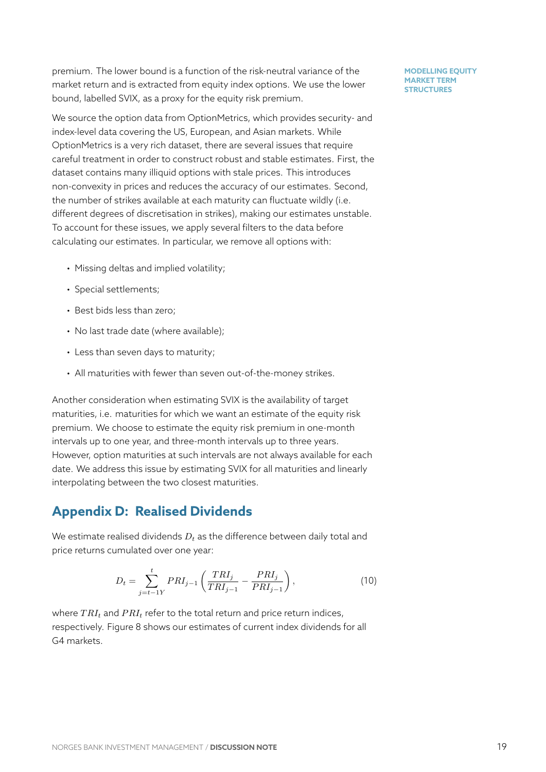premium. The lower bound is a function of the risk-neutral variance of the market return and is extracted from equity index options. We use the lower bound, labelled SVIX, as a proxy for the equity risk premium.

We source the option data from OptionMetrics, which provides security- and index-level data covering the US, European, and Asian markets. While OptionMetrics is a very rich dataset, there are several issues that require careful treatment in order to construct robust and stable estimates. First, the dataset contains many illiquid options with stale prices. This introduces non-convexity in prices and reduces the accuracy of our estimates. Second, the number of strikes available at each maturity can fluctuate wildly (i.e. different degrees of discretisation in strikes), making our estimates unstable. To account for these issues, we apply several filters to the data before calculating our estimates. In particular, we remove all options with:

- Missing deltas and implied volatility;
- Special settlements;
- Best bids less than zero;
- No last trade date (where available);
- Less than seven days to maturity;
- All maturities with fewer than seven out-of-the-money strikes.

Another consideration when estimating SVIX is the availability of target maturities, i.e. maturities for which we want an estimate of the equity risk premium. We choose to estimate the equity risk premium in one-month intervals up to one year, and three-month intervals up to three years. However, option maturities at such intervals are not always available for each date. We address this issue by estimating SVIX for all maturities and linearly interpolating between the two closest maturities.

### **Appendix D: Realised Dividends**

We estimate realised dividends *D<sup>t</sup>* as the difference between daily total and price returns cumulated over one year:

$$
D_t = \sum_{j=t-1Y}^{t} PRI_{j-1} \left( \frac{TRI_j}{TRI_{j-1}} - \frac{PRI_j}{PRI_{j-1}} \right),
$$
\n(10)

where *T RI<sup>t</sup>* and *P RI<sup>t</sup>* refer to the total return and price return indices, respectively. Figure 8 shows our estimates of current index dividends for all G4 markets.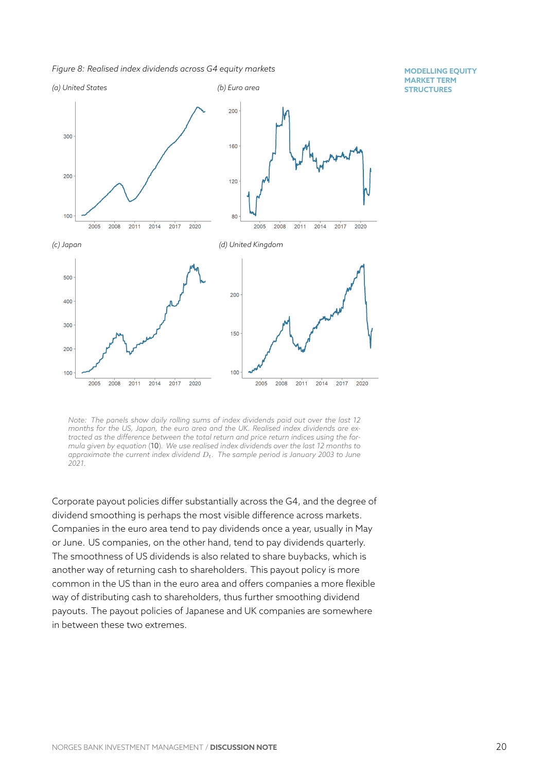*Figure 8: Realised index dividends across G4 equity markets*



*Note: The panels show daily rolling sums of index dividends paid out over the last 12 months for the US, Japan, the euro area and the UK. Realised index dividends are extracted as the difference between the total return and price return indices using the formula given by equation* (10)*. We use realised index dividends over the last 12 months to approximate the current index dividend Dt. The sample period is January 2003 to June 2021.*

<span id="page-20-0"></span>Corporate payout policies differ substantially across the G4, and the degree of dividend smoothing is perhaps the most visible difference across markets. Companies in the euro area tend to pay dividends once a year, usually in May or June. US companies, on the other hand, tend to pay dividends quarterly. The smoothness of US dividends is also related to share buybacks, which is another way of returning cash to shareholders. This payout policy is more common in the US than in the euro area and offers companies a more flexible way of distributing cash to shareholders, thus further smoothing dividend payouts. The payout policies of Japanese and UK companies are somewhere in between these two extremes.